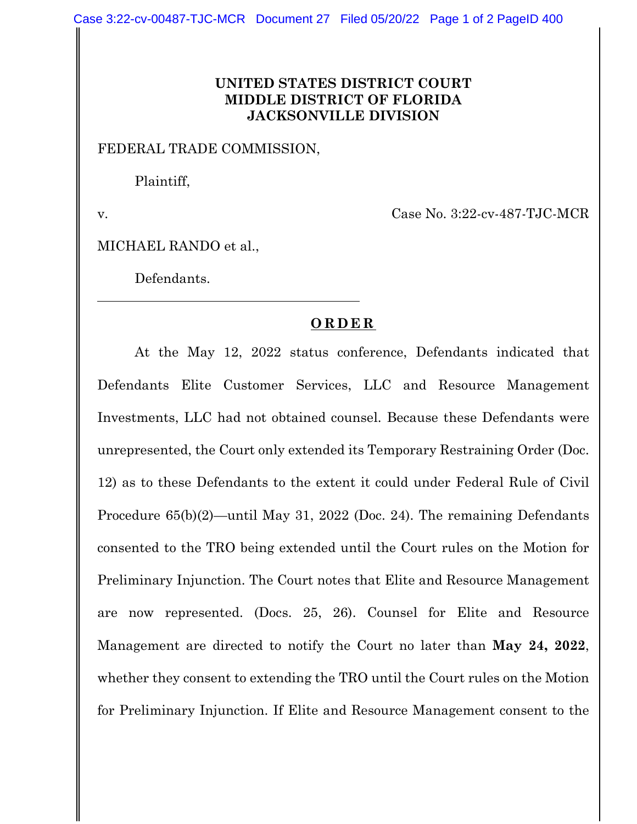## **UNITED STATES DISTRICT COURT MIDDLE DISTRICT OF FLORIDA JACKSONVILLE DIVISION**

FEDERAL TRADE COMMISSION,

Plaintiff,

v. Case No. 3:22-cv-487-TJC-MCR

MICHAEL RANDO et al.,

Defendants.

## **ORDER**

At the May 12, 2022 status conference, Defendants indicated that Defendants Elite Customer Services, LLC and Resource Management Investments, LLC had not obtained counsel. Because these Defendants were unrepresented, the Court only extended its Temporary Restraining Order (Doc. 12) as to these Defendants to the extent it could under Federal Rule of Civil Procedure 65(b)(2)—until May 31, 2022 (Doc. 24). The remaining Defendants consented to the TRO being extended until the Court rules on the Motion for Preliminary Injunction. The Court notes that Elite and Resource Management are now represented. (Docs. 25, 26). Counsel for Elite and Resource Management are directed to notify the Court no later than **May 24, 2022**, whether they consent to extending the TRO until the Court rules on the Motion for Preliminary Injunction. If Elite and Resource Management consent to the